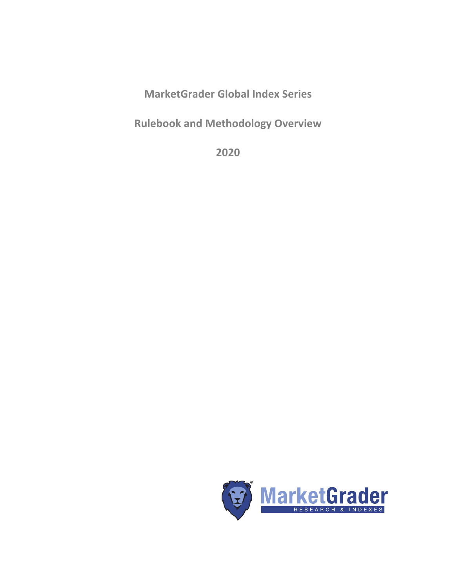**MarketGrader Global Index Series**

**Rulebook and Methodology Overview**

**2020**

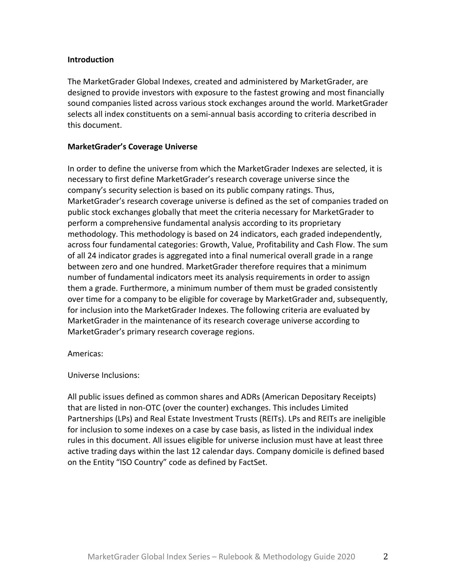## **Introduction**

The MarketGrader Global Indexes, created and administered by MarketGrader, are designed to provide investors with exposure to the fastest growing and most financially sound companies listed across various stock exchanges around the world. MarketGrader selects all index constituents on a semi-annual basis according to criteria described in this document.

# **MarketGrader's Coverage Universe**

In order to define the universe from which the MarketGrader Indexes are selected, it is necessary to first define MarketGrader's research coverage universe since the company's security selection is based on its public company ratings. Thus, MarketGrader's research coverage universe is defined as the set of companies traded on public stock exchanges globally that meet the criteria necessary for MarketGrader to perform a comprehensive fundamental analysis according to its proprietary methodology. This methodology is based on 24 indicators, each graded independently, across four fundamental categories: Growth, Value, Profitability and Cash Flow. The sum of all 24 indicator grades is aggregated into a final numerical overall grade in a range between zero and one hundred. MarketGrader therefore requires that a minimum number of fundamental indicators meet its analysis requirements in order to assign them a grade. Furthermore, a minimum number of them must be graded consistently over time for a company to be eligible for coverage by MarketGrader and, subsequently, for inclusion into the MarketGrader Indexes. The following criteria are evaluated by MarketGrader in the maintenance of its research coverage universe according to MarketGrader's primary research coverage regions.

Americas:

Universe Inclusions:

All public issues defined as common shares and ADRs (American Depositary Receipts) that are listed in non-OTC (over the counter) exchanges. This includes Limited Partnerships (LPs) and Real Estate Investment Trusts (REITs). LPs and REITs are ineligible for inclusion to some indexes on a case by case basis, as listed in the individual index rules in this document. All issues eligible for universe inclusion must have at least three active trading days within the last 12 calendar days. Company domicile is defined based on the Entity "ISO Country" code as defined by FactSet.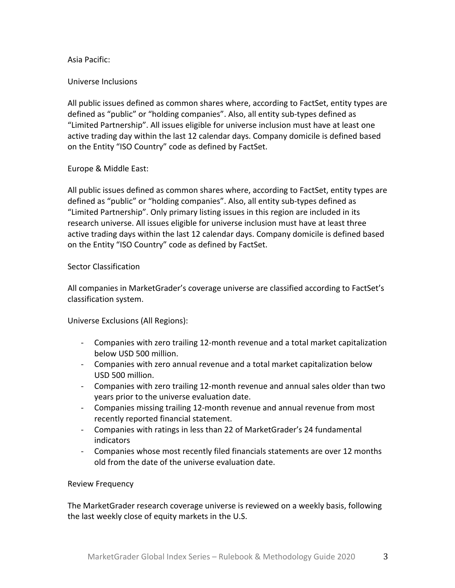# Asia Pacific:

## Universe Inclusions

All public issues defined as common shares where, according to FactSet, entity types are defined as "public" or "holding companies". Also, all entity sub-types defined as "Limited Partnership". All issues eligible for universe inclusion must have at least one active trading day within the last 12 calendar days. Company domicile is defined based on the Entity "ISO Country" code as defined by FactSet.

# Europe & Middle East:

All public issues defined as common shares where, according to FactSet, entity types are defined as "public" or "holding companies". Also, all entity sub-types defined as "Limited Partnership". Only primary listing issues in this region are included in its research universe. All issues eligible for universe inclusion must have at least three active trading days within the last 12 calendar days. Company domicile is defined based on the Entity "ISO Country" code as defined by FactSet.

#### Sector Classification

All companies in MarketGrader's coverage universe are classified according to FactSet's classification system. 

Universe Exclusions (All Regions):

- Companies with zero trailing 12-month revenue and a total market capitalization below USD 500 million.
- Companies with zero annual revenue and a total market capitalization below USD 500 million.
- Companies with zero trailing 12-month revenue and annual sales older than two years prior to the universe evaluation date.
- Companies missing trailing 12-month revenue and annual revenue from most recently reported financial statement.
- Companies with ratings in less than 22 of MarketGrader's 24 fundamental indicators
- Companies whose most recently filed financials statements are over 12 months old from the date of the universe evaluation date.

# Review Frequency

The MarketGrader research coverage universe is reviewed on a weekly basis, following the last weekly close of equity markets in the U.S.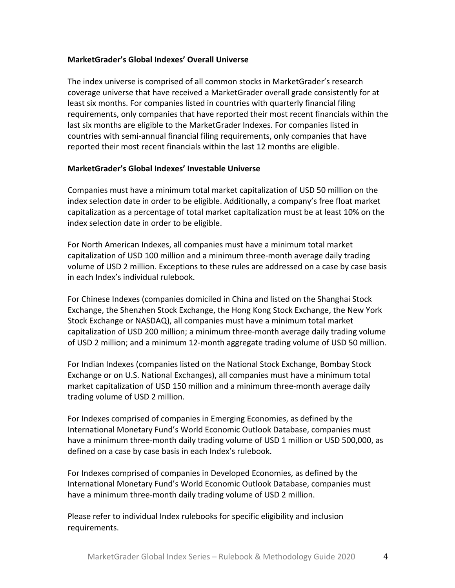# **MarketGrader's Global Indexes' Overall Universe**

The index universe is comprised of all common stocks in MarketGrader's research coverage universe that have received a MarketGrader overall grade consistently for at least six months. For companies listed in countries with quarterly financial filing requirements, only companies that have reported their most recent financials within the last six months are eligible to the MarketGrader Indexes. For companies listed in countries with semi-annual financial filing requirements, only companies that have reported their most recent financials within the last 12 months are eligible.

# **MarketGrader's Global Indexes' Investable Universe**

Companies must have a minimum total market capitalization of USD 50 million on the index selection date in order to be eligible. Additionally, a company's free float market capitalization as a percentage of total market capitalization must be at least 10% on the index selection date in order to be eligible.

For North American Indexes, all companies must have a minimum total market capitalization of USD 100 million and a minimum three-month average daily trading volume of USD 2 million. Exceptions to these rules are addressed on a case by case basis in each Index's individual rulebook.

For Chinese Indexes (companies domiciled in China and listed on the Shanghai Stock Exchange, the Shenzhen Stock Exchange, the Hong Kong Stock Exchange, the New York Stock Exchange or NASDAQ), all companies must have a minimum total market capitalization of USD 200 million; a minimum three-month average daily trading volume of USD 2 million; and a minimum 12-month aggregate trading volume of USD 50 million.

For Indian Indexes (companies listed on the National Stock Exchange, Bombay Stock Exchange or on U.S. National Exchanges), all companies must have a minimum total market capitalization of USD 150 million and a minimum three-month average daily trading volume of USD 2 million.

For Indexes comprised of companies in Emerging Economies, as defined by the International Monetary Fund's World Economic Outlook Database, companies must have a minimum three-month daily trading volume of USD 1 million or USD 500,000, as defined on a case by case basis in each Index's rulebook.

For Indexes comprised of companies in Developed Economies, as defined by the International Monetary Fund's World Economic Outlook Database, companies must have a minimum three-month daily trading volume of USD 2 million.

Please refer to individual Index rulebooks for specific eligibility and inclusion requirements.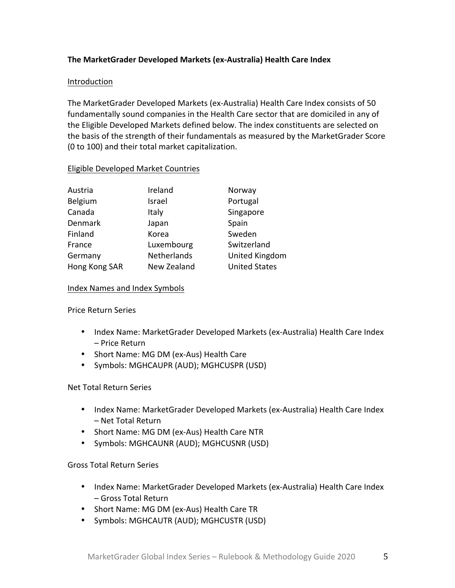# **The MarketGrader Developed Markets (ex-Australia) Health Care Index**

#### Introduction

The MarketGrader Developed Markets (ex-Australia) Health Care Index consists of 50 fundamentally sound companies in the Health Care sector that are domiciled in any of the Eligible Developed Markets defined below. The index constituents are selected on the basis of the strength of their fundamentals as measured by the MarketGrader Score (0 to 100) and their total market capitalization.

#### Eligible Developed Market Countries

| Austria       | Ireland     | Norway               |
|---------------|-------------|----------------------|
| Belgium       | Israel      | Portugal             |
| Canada        | Italy       | Singapore            |
| Denmark       | Japan       | Spain                |
| Finland       | Korea       | Sweden               |
| France        | Luxembourg  | Switzerland          |
| Germany       | Netherlands | United Kingdom       |
| Hong Kong SAR | New Zealand | <b>United States</b> |

#### Index Names and Index Symbols

Price Return Series

- Index Name: MarketGrader Developed Markets (ex-Australia) Health Care Index – Price Return
- Short Name: MG DM (ex-Aus) Health Care
- Symbols: MGHCAUPR (AUD); MGHCUSPR (USD)

# Net Total Return Series

- Index Name: MarketGrader Developed Markets (ex-Australia) Health Care Index – Net Total Return
- Short Name: MG DM (ex-Aus) Health Care NTR
- Symbols: MGHCAUNR (AUD); MGHCUSNR (USD)

Gross Total Return Series

- Index Name: MarketGrader Developed Markets (ex-Australia) Health Care Index – Gross Total Return
- Short Name: MG DM (ex-Aus) Health Care TR
- Symbols: MGHCAUTR (AUD); MGHCUSTR (USD)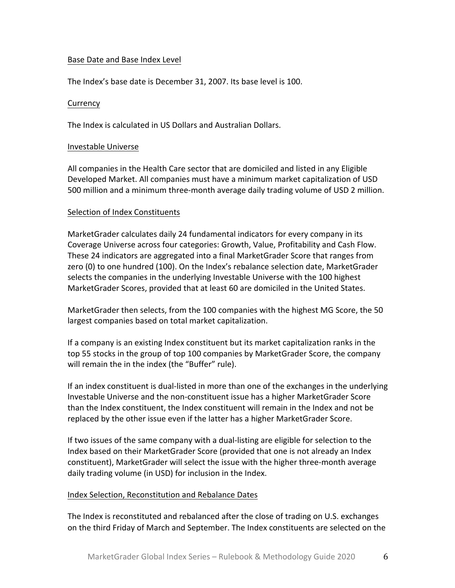## Base Date and Base Index Level

The Index's base date is December 31, 2007. Its base level is 100.

## **Currency**

The Index is calculated in US Dollars and Australian Dollars.

#### Investable Universe

All companies in the Health Care sector that are domiciled and listed in any Eligible Developed Market. All companies must have a minimum market capitalization of USD 500 million and a minimum three-month average daily trading volume of USD 2 million.

# Selection of Index Constituents

MarketGrader calculates daily 24 fundamental indicators for every company in its Coverage Universe across four categories: Growth, Value, Profitability and Cash Flow. These 24 indicators are aggregated into a final MarketGrader Score that ranges from zero (0) to one hundred (100). On the Index's rebalance selection date, MarketGrader selects the companies in the underlying Investable Universe with the 100 highest MarketGrader Scores, provided that at least 60 are domiciled in the United States.

MarketGrader then selects, from the 100 companies with the highest MG Score, the 50 largest companies based on total market capitalization.

If a company is an existing Index constituent but its market capitalization ranks in the top 55 stocks in the group of top 100 companies by MarketGrader Score, the company will remain the in the index (the "Buffer" rule).

If an index constituent is dual-listed in more than one of the exchanges in the underlying Investable Universe and the non-constituent issue has a higher MarketGrader Score than the Index constituent, the Index constituent will remain in the Index and not be replaced by the other issue even if the latter has a higher MarketGrader Score.

If two issues of the same company with a dual-listing are eligible for selection to the Index based on their MarketGrader Score (provided that one is not already an Index constituent), MarketGrader will select the issue with the higher three-month average daily trading volume (in USD) for inclusion in the Index.

# Index Selection, Reconstitution and Rebalance Dates

The Index is reconstituted and rebalanced after the close of trading on U.S. exchanges on the third Friday of March and September. The Index constituents are selected on the